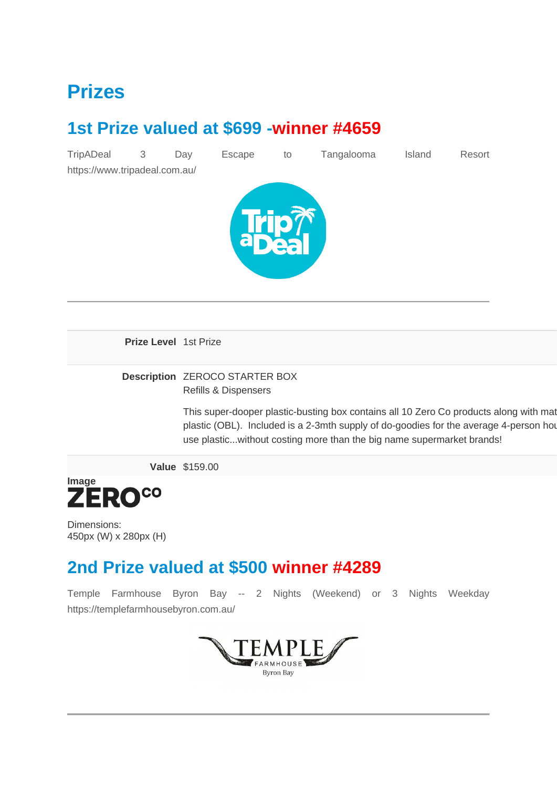#### **Prizes**

#### **1st Prize valued at \$699 -winner #4659**

| TripADeal                     | 3 | Day | Escape | to | Tangalooma | Island | Resort |
|-------------------------------|---|-----|--------|----|------------|--------|--------|
| https://www.tripadeal.com.au/ |   |     |        |    |            |        |        |
|                               |   |     |        |    |            |        |        |
|                               |   |     |        |    |            |        |        |
|                               |   |     |        |    |            |        |        |
|                               |   |     |        |    |            |        |        |
|                               |   |     |        |    |            |        |        |
|                               |   |     |        |    |            |        |        |
|                               |   |     |        |    |            |        |        |

**Prize Level** 1st Prize

#### **Description** ZEROCO STARTER BOX Refills & Dispensers

This super-dooper plastic-busting box contains all 10 Zero Co products along with mat plastic (OBL). Included is a 2-3mth supply of do-goodies for the average 4-person house use plastic...without costing more than the big name supermarket brands!

**Value** \$159.00



Dimensions: 450px (W) x 280px (H)

#### **2nd Prize valued at \$500 winner #4289**

Temple Farmhouse Byron Bay -- 2 Nights (Weekend) or 3 Nights Weekday https://templefarmhousebyron.com.au/

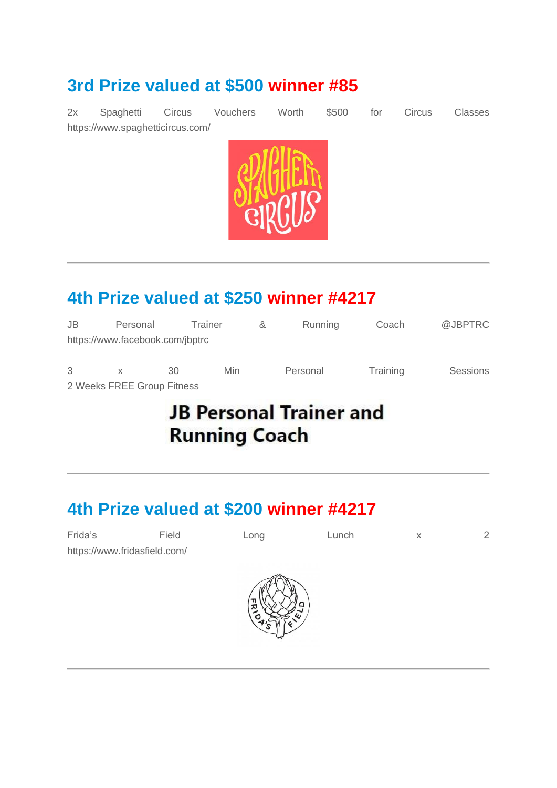#### **3rd Prize valued at \$500 winner #85**

2x Spaghetti Circus Vouchers Worth \$500 for Circus Classes https://www.spaghetticircus.com/



#### **4th Prize valued at \$250 winner #4217**

| JB | Personal                        | Trainer |     | ୪ | Running  | Coach    | @JBPTRC         |
|----|---------------------------------|---------|-----|---|----------|----------|-----------------|
|    | https://www.facebook.com/jbptrc |         |     |   |          |          |                 |
| 3  | $\mathbf{x}$                    | 30      | Min |   | Personal | Training | <b>Sessions</b> |
|    | 2 Weeks FREE Group Fitness      |         |     |   |          |          |                 |

### **JB Personal Trainer and Running Coach**

#### **4th Prize valued at \$200 winner #4217**

| Frida's                      | Field | Long         | Lunch | X | $\overline{2}$ |
|------------------------------|-------|--------------|-------|---|----------------|
| https://www.fridasfield.com/ |       |              |       |   |                |
|                              |       |              |       |   |                |
|                              |       | 'n<br>ᄍ<br>O |       |   |                |
|                              |       |              |       |   |                |
|                              |       |              |       |   |                |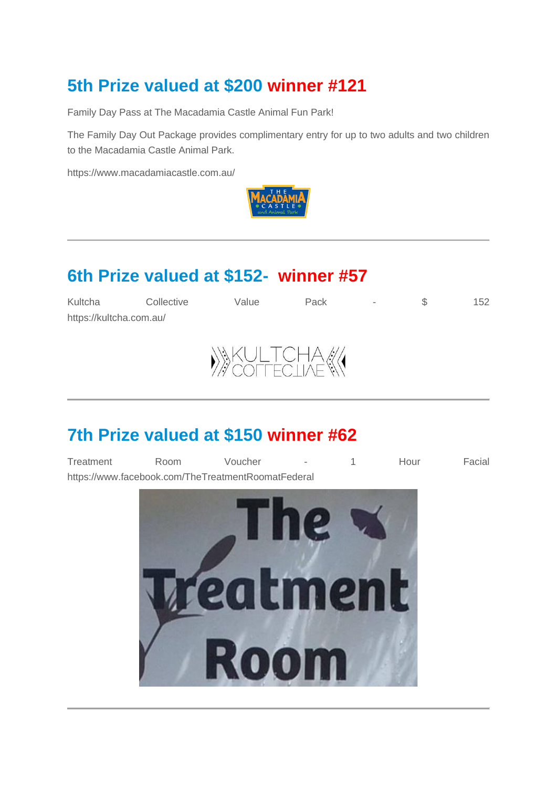#### **5th Prize valued at \$200 winner #121**

Family Day Pass at The Macadamia Castle Animal Fun Park!

The Family Day Out Package provides complimentary entry for up to two adults and two children to the Macadamia Castle Animal Park.

https://www.macadamiacastle.com.au/



#### **6th Prize valued at \$152- winner #57**

| Kultcha                 | Collective | Value         | Pack | $\sim$ | 152 |
|-------------------------|------------|---------------|------|--------|-----|
| https://kultcha.com.au/ |            |               |      |        |     |
|                         |            | $\frac{1}{2}$ |      |        |     |



#### **7th Prize valued at \$150 winner #62**

Treatment Room Voucher - 1 Hour Facial https://www.facebook.com/TheTreatmentRoomatFederal

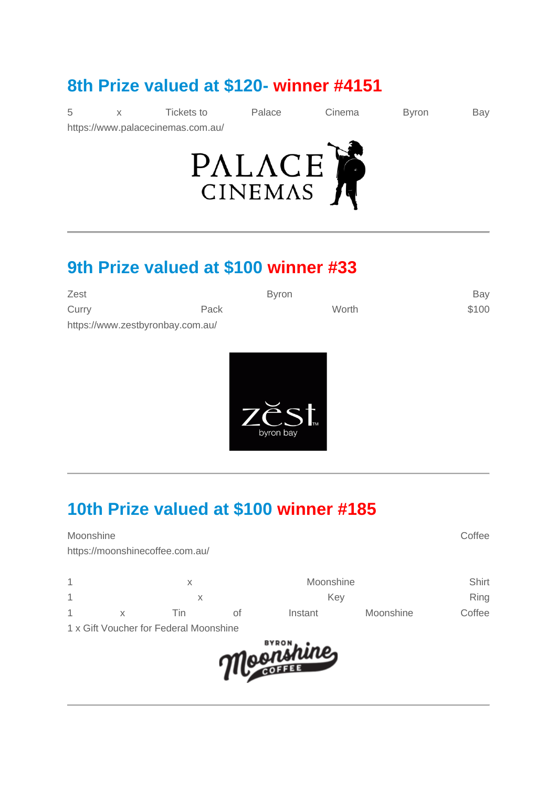#### **8th Prize valued at \$120- winner #4151**

|  | Tickets to                        | Palace | Cinema | Byron | Bay |
|--|-----------------------------------|--------|--------|-------|-----|
|  | https://www.palacecinemas.com.au/ |        |        |       |     |



#### **9th Prize valued at \$100 winner #33**

| Zest                             |      | <b>Byron</b> | Bay   |
|----------------------------------|------|--------------|-------|
| Curry                            | Pack | Worth        | \$100 |
| https://www.zestbyronbay.com.au/ |      |              |       |



#### **10th Prize valued at \$100 winner #185**

Moonshine Coffee Control of the Control of the Control of the Control of the Control of the Control of the Control of the Control of the Control of the Control of the Control of the Control of the Control of the Control of

https://moonshinecoffee.com.au/

|   |     |    | Moonshine | Shirt     |        |
|---|-----|----|-----------|-----------|--------|
|   |     |    | Key       |           | Ring   |
| 1 | Γiη | ∩t | Instant   | Moonshine | Coffee |

1 x Gift Voucher for Federal Moonshine

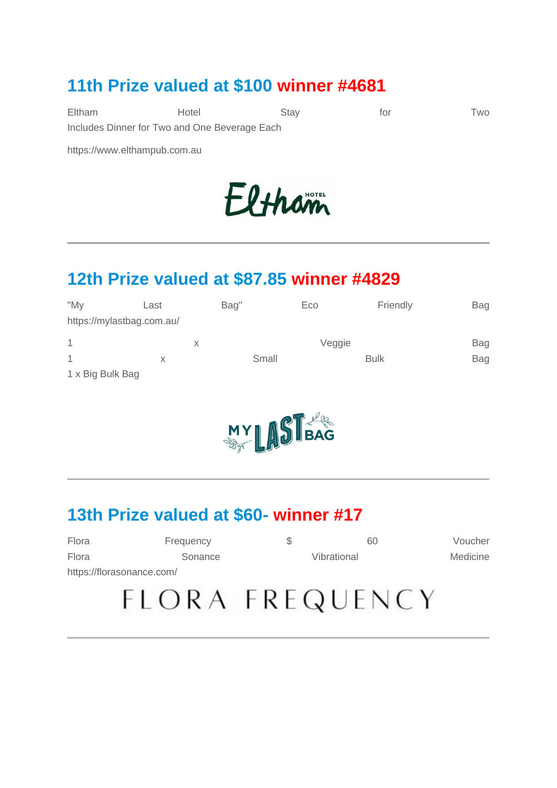#### **11th Prize valued at \$100 winner #4681**

Eltham Hotel Stay for Two Includes Dinner for Two and One Beverage Each

https://www.elthampub.com.au

# Eltham

#### **12th Prize valued at \$87.85 winner #4829**

| "My              | Last                      | Bag" |       | Eco    | Friendly    | <b>Bag</b> |
|------------------|---------------------------|------|-------|--------|-------------|------------|
|                  | https://mylastbag.com.au/ |      |       |        |             |            |
| 1                |                           | X    |       | Veggie |             | Bag        |
|                  | X                         |      | Small |        | <b>Bulk</b> | Bag        |
| 1 x Big Bulk Bag |                           |      |       |        |             |            |



#### **13th Prize valued at \$60- winner #17**

| Flora                     | Frequency | 60          | Voucher  |
|---------------------------|-----------|-------------|----------|
| Flora                     | Sonance   | Vibrational | Medicine |
| https://florasonance.com/ |           |             |          |
|                           |           |             |          |

## FLORA FREQUENCY